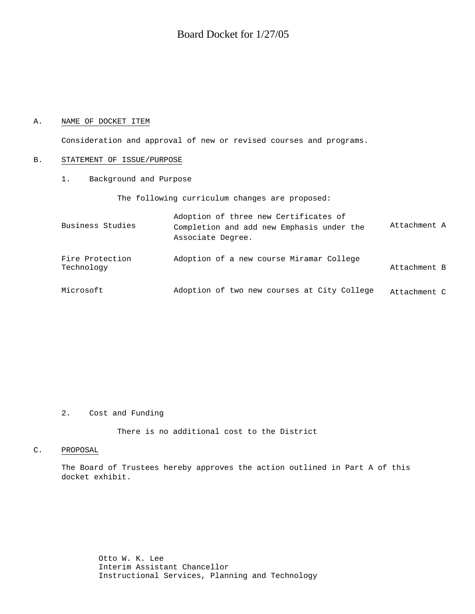# Board Docket for 1/27/05

# A. NAME OF DOCKET ITEM

Consideration and approval of new or revised courses and programs.

#### B. STATEMENT OF ISSUE/PURPOSE

1. Background and Purpose

The following curriculum changes are proposed:

| Business Studies              | Adoption of three new Certificates of<br>Completion and add new Emphasis under the<br>Associate Degree. | Attachment A |
|-------------------------------|---------------------------------------------------------------------------------------------------------|--------------|
| Fire Protection<br>Technology | Adoption of a new course Miramar College                                                                | Attachment B |
| Microsoft                     | Adoption of two new courses at City College                                                             | Attachment C |

# 2. Cost and Funding

There is no additional cost to the District

## C. PROPOSAL

The Board of Trustees hereby approves the action outlined in Part A of this docket exhibit.

> Otto W. K. Lee Interim Assistant Chancellor Instructional Services, Planning and Technology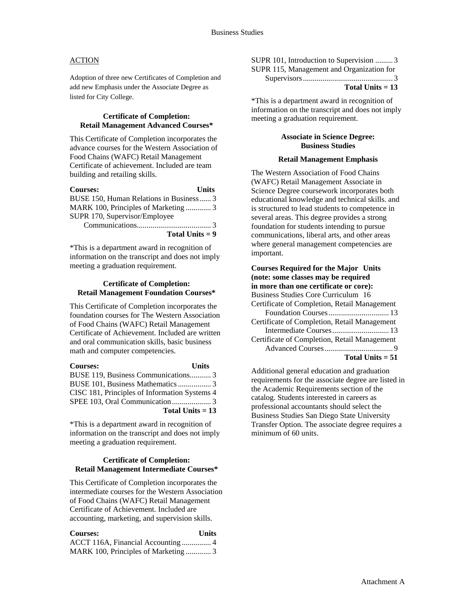# **ACTION**

Adoption of three new Certificates of Completion and add new Emphasis under the Associate Degree as listed for City College.

#### **Certificate of Completion: Retail Management Advanced Courses\***

This Certificate of Completion incorporates the advance courses for the Western Association of Food Chains (WAFC) Retail Management Certificate of achievement. Included are team building and retailing skills.

| <b>Courses:</b>                         | <b>Units</b> |
|-----------------------------------------|--------------|
| BUSE 150, Human Relations in Business 3 |              |
| MARK 100, Principles of Marketing  3    |              |
| SUPR 170, Supervisor/Employee           |              |
|                                         |              |
| Total Units $= 9$                       |              |

\*This is a department award in recognition of information on the transcript and does not imply meeting a graduation requirement.

#### **Certificate of Completion: Retail Management Foundation Courses\***

This Certificate of Completion incorporates the foundation courses for The Western Association of Food Chains (WAFC) Retail Management Certificate of Achievement. Included are written and oral communication skills, basic business math and computer competencies.

| <b>Courses:</b>                               | <b>Units</b> |
|-----------------------------------------------|--------------|
| BUSE 119, Business Communications 3           |              |
| BUSE 101, Business Mathematics  3             |              |
| CISC 181, Principles of Information Systems 4 |              |
|                                               |              |
| Total Units $= 13$                            |              |

\*This is a department award in recognition of information on the transcript and does not imply meeting a graduation requirement.

# **Certificate of Completion: Retail Management Intermediate Courses\***

This Certificate of Completion incorporates the intermediate courses for the Western Association of Food Chains (WAFC) Retail Management Certificate of Achievement. Included are accounting, marketing, and supervision skills.

| <b>Courses:</b>                    | <b>Units</b> |
|------------------------------------|--------------|
|                                    |              |
| MARK 100, Principles of Marketing3 |              |

SUPR 101, Introduction to Supervision ......... 3 SUPR 115, Management and Organization for

Supervisors .............................................. 3 **Total Units = 13**

\*This is a department award in recognition of information on the transcript and does not imply meeting a graduation requirement.

#### **Associate in Science Degree: Business Studies**

#### **Retail Management Emphasis**

The Western Association of Food Chains (WAFC) Retail Management Associate in Science Degree coursework incorporates both educational knowledge and technical skills. and is structured to lead students to competence in several areas. This degree provides a strong foundation for students intending to pursue communications, liberal arts, and other areas where general management competencies are important.

| <b>Courses Required for the Major Units</b><br>(note: some classes may be required |
|------------------------------------------------------------------------------------|
| in more than one certificate or core):                                             |
| Business Studies Core Curriculum 16                                                |
| Certificate of Completion, Retail Management                                       |
|                                                                                    |
| Certificate of Completion, Retail Management                                       |
|                                                                                    |
| Certificate of Completion, Retail Management                                       |
|                                                                                    |
| Total Units $= 51$                                                                 |

Additional general education and graduation requirements for the associate degree are listed in the Academic Requirements section of the catalog. Students interested in careers as professional accountants should select the Business Studies San Diego State University Transfer Option. The associate degree requires a minimum of 60 units.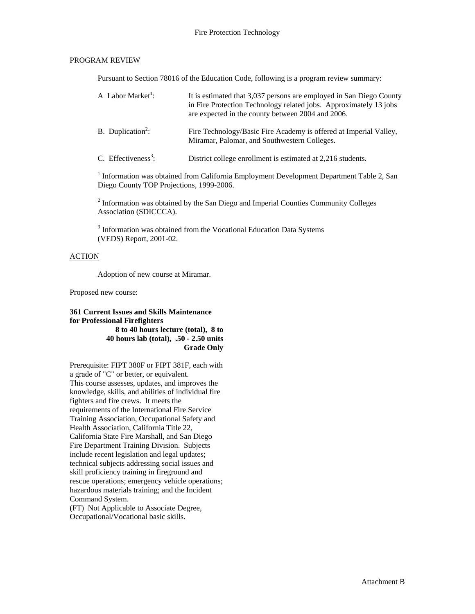# PROGRAM REVIEW

Pursuant to Section 78016 of the Education Code, following is a program review summary:

| A Labor Market <sup>1</sup> :   | It is estimated that 3,037 persons are employed in San Diego County<br>in Fire Protection Technology related jobs. Approximately 13 jobs<br>are expected in the county between 2004 and 2006. |
|---------------------------------|-----------------------------------------------------------------------------------------------------------------------------------------------------------------------------------------------|
| B. Duplication <sup>2</sup> :   | Fire Technology/Basic Fire Academy is offered at Imperial Valley,<br>Miramar, Palomar, and Southwestern Colleges.                                                                             |
| C. Effectiveness <sup>3</sup> : | District college enrollment is estimated at 2,216 students.                                                                                                                                   |

<sup>1</sup> Information was obtained from California Employment Development Department Table 2, San Diego County TOP Projections, 1999-2006.

 $2$  Information was obtained by the San Diego and Imperial Counties Community Colleges Association (SDICCCA).

<sup>3</sup> Information was obtained from the Vocational Education Data Systems (VEDS) Report, 2001-02.

# ACTION

Adoption of new course at Miramar.

Proposed new course:

## **361 Current Issues and Skills Maintenance for Professional Firefighters 8 to 40 hours lecture (total), 8 to 40 hours lab (total), .50 - 2.50 units Grade Only**

Prerequisite: FIPT 380F or FIPT 381F, each with a grade of "C" or better, or equivalent. This course assesses, updates, and improves the knowledge, skills, and abilities of individual fire fighters and fire crews. It meets the requirements of the International Fire Service Training Association, Occupational Safety and Health Association, California Title 22, California State Fire Marshall, and San Diego Fire Department Training Division. Subjects include recent legislation and legal updates; technical subjects addressing social issues and skill proficiency training in fireground and rescue operations; emergency vehicle operations; hazardous materials training; and the Incident Command System.

(FT) Not Applicable to Associate Degree, Occupational/Vocational basic skills.